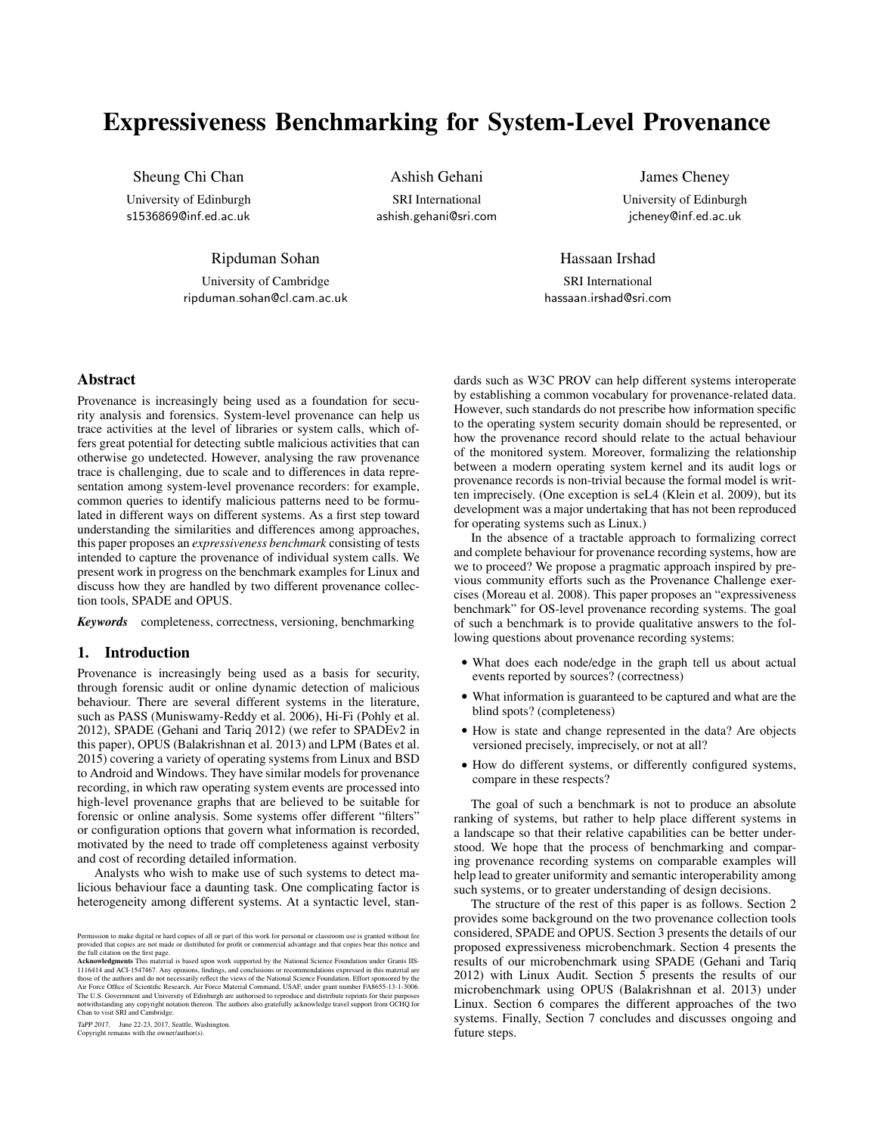# Expressiveness Benchmarking for System-Level Provenance

Sheung Chi Chan

University of Edinburgh s1536869@inf.ed.ac.uk

Ashish Gehani SRI International ashish.gehani@sri.com

James Cheney University of Edinburgh jcheney@inf.ed.ac.uk

Ripduman Sohan

University of Cambridge ripduman.sohan@cl.cam.ac.uk

Hassaan Irshad SRI International hassaan.irshad@sri.com

# Abstract

Provenance is increasingly being used as a foundation for security analysis and forensics. System-level provenance can help us trace activities at the level of libraries or system calls, which offers great potential for detecting subtle malicious activities that can otherwise go undetected. However, analysing the raw provenance trace is challenging, due to scale and to differences in data representation among system-level provenance recorders: for example, common queries to identify malicious patterns need to be formulated in different ways on different systems. As a first step toward understanding the similarities and differences among approaches, this paper proposes an *expressiveness benchmark* consisting of tests intended to capture the provenance of individual system calls. We present work in progress on the benchmark examples for Linux and discuss how they are handled by two different provenance collection tools, SPADE and OPUS.

*Keywords* completeness, correctness, versioning, benchmarking

## 1. Introduction

Provenance is increasingly being used as a basis for security, through forensic audit or online dynamic detection of malicious behaviour. There are several different systems in the literature, such as PASS (Muniswamy-Reddy et al. 2006), Hi-Fi (Pohly et al. 2012), SPADE (Gehani and Tariq 2012) (we refer to SPADEv2 in this paper), OPUS (Balakrishnan et al. 2013) and LPM (Bates et al. 2015) covering a variety of operating systems from Linux and BSD to Android and Windows. They have similar models for provenance recording, in which raw operating system events are processed into high-level provenance graphs that are believed to be suitable for forensic or online analysis. Some systems offer different "filters" or configuration options that govern what information is recorded, motivated by the need to trade off completeness against verbosity and cost of recording detailed information.

Analysts who wish to make use of such systems to detect malicious behaviour face a daunting task. One complicating factor is heterogeneity among different systems. At a syntactic level, stan-

TaPP 2017, June 22-23, 2017, Seattle, Washington. Copyright remains with the owner/author(s).

dards such as W3C PROV can help different systems interoperate by establishing a common vocabulary for provenance-related data. However, such standards do not prescribe how information specific to the operating system security domain should be represented, or how the provenance record should relate to the actual behaviour of the monitored system. Moreover, formalizing the relationship between a modern operating system kernel and its audit logs or provenance records is non-trivial because the formal model is written imprecisely. (One exception is seL4 (Klein et al. 2009), but its development was a major undertaking that has not been reproduced for operating systems such as Linux.)

In the absence of a tractable approach to formalizing correct and complete behaviour for provenance recording systems, how are we to proceed? We propose a pragmatic approach inspired by previous community efforts such as the Provenance Challenge exercises (Moreau et al. 2008). This paper proposes an "expressiveness benchmark" for OS-level provenance recording systems. The goal of such a benchmark is to provide qualitative answers to the following questions about provenance recording systems:

- What does each node/edge in the graph tell us about actual events reported by sources? (correctness)
- What information is guaranteed to be captured and what are the blind spots? (completeness)
- How is state and change represented in the data? Are objects versioned precisely, imprecisely, or not at all?
- How do different systems, or differently configured systems, compare in these respects?

The goal of such a benchmark is not to produce an absolute ranking of systems, but rather to help place different systems in a landscape so that their relative capabilities can be better understood. We hope that the process of benchmarking and comparing provenance recording systems on comparable examples will help lead to greater uniformity and semantic interoperability among such systems, or to greater understanding of design decisions.

The structure of the rest of this paper is as follows. Section 2 provides some background on the two provenance collection tools considered, SPADE and OPUS. Section 3 presents the details of our proposed expressiveness microbenchmark. Section 4 presents the results of our microbenchmark using SPADE (Gehani and Tariq 2012) with Linux Audit. Section 5 presents the results of our microbenchmark using OPUS (Balakrishnan et al. 2013) under Linux. Section 6 compares the different approaches of the two systems. Finally, Section 7 concludes and discusses ongoing and future steps.

Permission to make digital or hard copies of all or part of this work for personal or classroom use is granted without fee<br>provided that copies are not made or distributed for profit or commercial advantage and that copies

<sup>1116414</sup> and ACI-1547467. Any opinions, findings, and conclusions or recommendations expressed in this material are<br>those of the authors and do not necessarily reflect the views of the National Science Foundation. Effort sp The U.S. Government and University of Edinburgh are authorised to reproduce and distribute reprints for their pu notwithstanding any copyright notation thereon. The authors also gratefully acknowledge travel support from GCHQ for Chan to visit SRI and Cambridge.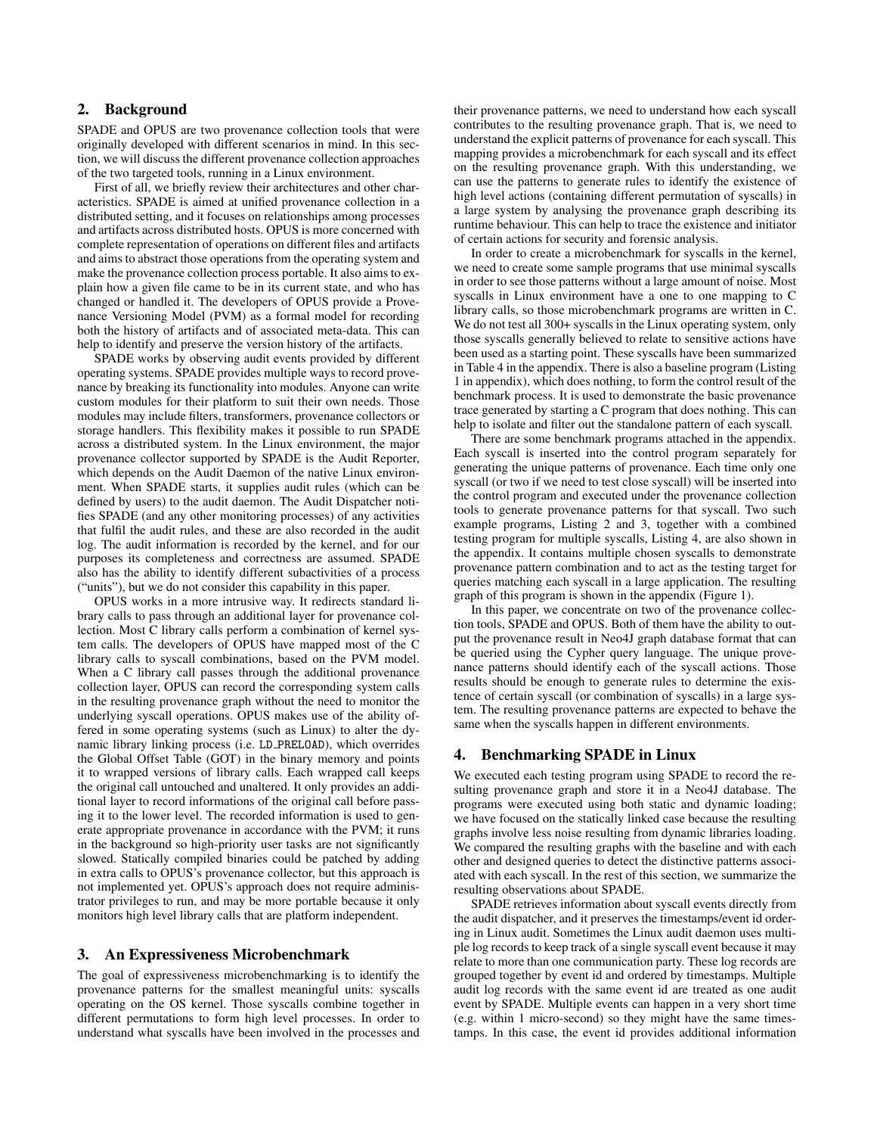## 2. Background

SPADE and OPUS are two provenance collection tools that were originally developed with different scenarios in mind. In this section, we will discuss the different provenance collection approaches of the two targeted tools, running in a Linux environment.

First of all, we briefly review their architectures and other characteristics. SPADE is aimed at unified provenance collection in a distributed setting, and it focuses on relationships among processes and artifacts across distributed hosts. OPUS is more concerned with complete representation of operations on different files and artifacts and aims to abstract those operations from the operating system and make the provenance collection process portable. It also aims to explain how a given file came to be in its current state, and who has changed or handled it. The developers of OPUS provide a Provenance Versioning Model (PVM) as a formal model for recording both the history of artifacts and of associated meta-data. This can help to identify and preserve the version history of the artifacts.

SPADE works by observing audit events provided by different operating systems. SPADE provides multiple ways to record provenance by breaking its functionality into modules. Anyone can write custom modules for their platform to suit their own needs. Those modules may include filters, transformers, provenance collectors or storage handlers. This flexibility makes it possible to run SPADE across a distributed system. In the Linux environment, the major provenance collector supported by SPADE is the Audit Reporter, which depends on the Audit Daemon of the native Linux environment. When SPADE starts, it supplies audit rules (which can be defined by users) to the audit daemon. The Audit Dispatcher notifies SPADE (and any other monitoring processes) of any activities that fulfil the audit rules, and these are also recorded in the audit log. The audit information is recorded by the kernel, and for our purposes its completeness and correctness are assumed. SPADE also has the ability to identify different subactivities of a process ("units"), but we do not consider this capability in this paper.

OPUS works in a more intrusive way. It redirects standard library calls to pass through an additional layer for provenance collection. Most C library calls perform a combination of kernel system calls. The developers of OPUS have mapped most of the C library calls to syscall combinations, based on the PVM model. When a C library call passes through the additional provenance collection layer, OPUS can record the corresponding system calls in the resulting provenance graph without the need to monitor the underlying syscall operations. OPUS makes use of the ability offered in some operating systems (such as Linux) to alter the dynamic library linking process (i.e. LD PRELOAD), which overrides the Global Offset Table (GOT) in the binary memory and points it to wrapped versions of library calls. Each wrapped call keeps the original call untouched and unaltered. It only provides an additional layer to record informations of the original call before passing it to the lower level. The recorded information is used to generate appropriate provenance in accordance with the PVM; it runs in the background so high-priority user tasks are not significantly slowed. Statically compiled binaries could be patched by adding in extra calls to OPUS's provenance collector, but this approach is not implemented yet. OPUS's approach does not require administrator privileges to run, and may be more portable because it only monitors high level library calls that are platform independent.

## 3. An Expressiveness Microbenchmark

The goal of expressiveness microbenchmarking is to identify the provenance patterns for the smallest meaningful units: syscalls operating on the OS kernel. Those syscalls combine together in different permutations to form high level processes. In order to understand what syscalls have been involved in the processes and their provenance patterns, we need to understand how each syscall contributes to the resulting provenance graph. That is, we need to understand the explicit patterns of provenance for each syscall. This mapping provides a microbenchmark for each syscall and its effect on the resulting provenance graph. With this understanding, we can use the patterns to generate rules to identify the existence of high level actions (containing different permutation of syscalls) in a large system by analysing the provenance graph describing its runtime behaviour. This can help to trace the existence and initiator of certain actions for security and forensic analysis.

In order to create a microbenchmark for syscalls in the kernel, we need to create some sample programs that use minimal syscalls in order to see those patterns without a large amount of noise. Most syscalls in Linux environment have a one to one mapping to C library calls, so those microbenchmark programs are written in C. We do not test all 300+ syscalls in the Linux operating system, only those syscalls generally believed to relate to sensitive actions have been used as a starting point. These syscalls have been summarized in Table 4 in the appendix. There is also a baseline program (Listing 1 in appendix), which does nothing, to form the control result of the benchmark process. It is used to demonstrate the basic provenance trace generated by starting a C program that does nothing. This can help to isolate and filter out the standalone pattern of each syscall.

There are some benchmark programs attached in the appendix. Each syscall is inserted into the control program separately for generating the unique patterns of provenance. Each time only one syscall (or two if we need to test close syscall) will be inserted into the control program and executed under the provenance collection tools to generate provenance patterns for that syscall. Two such example programs, Listing 2 and 3, together with a combined testing program for multiple syscalls, Listing 4, are also shown in the appendix. It contains multiple chosen syscalls to demonstrate provenance pattern combination and to act as the testing target for queries matching each syscall in a large application. The resulting graph of this program is shown in the appendix (Figure 1).

In this paper, we concentrate on two of the provenance collection tools, SPADE and OPUS. Both of them have the ability to output the provenance result in Neo4J graph database format that can be queried using the Cypher query language. The unique provenance patterns should identify each of the syscall actions. Those results should be enough to generate rules to determine the existence of certain syscall (or combination of syscalls) in a large system. The resulting provenance patterns are expected to behave the same when the syscalls happen in different environments.

## 4. Benchmarking SPADE in Linux

We executed each testing program using SPADE to record the resulting provenance graph and store it in a Neo4J database. The programs were executed using both static and dynamic loading; we have focused on the statically linked case because the resulting graphs involve less noise resulting from dynamic libraries loading. We compared the resulting graphs with the baseline and with each other and designed queries to detect the distinctive patterns associated with each syscall. In the rest of this section, we summarize the resulting observations about SPADE.

SPADE retrieves information about syscall events directly from the audit dispatcher, and it preserves the timestamps/event id ordering in Linux audit. Sometimes the Linux audit daemon uses multiple log records to keep track of a single syscall event because it may relate to more than one communication party. These log records are grouped together by event id and ordered by timestamps. Multiple audit log records with the same event id are treated as one audit event by SPADE. Multiple events can happen in a very short time (e.g. within 1 micro-second) so they might have the same timestamps. In this case, the event id provides additional information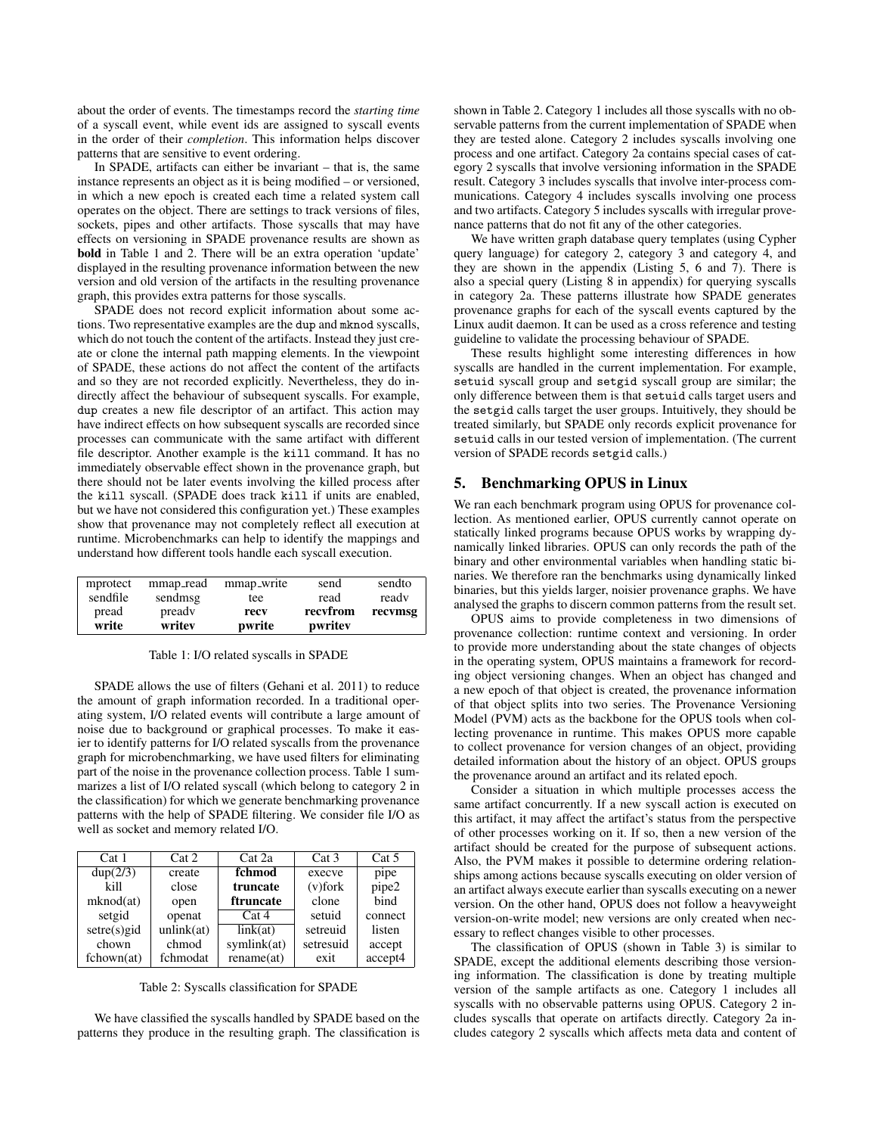about the order of events. The timestamps record the *starting time* of a syscall event, while event ids are assigned to syscall events in the order of their *completion*. This information helps discover patterns that are sensitive to event ordering.

In SPADE, artifacts can either be invariant – that is, the same instance represents an object as it is being modified – or versioned, in which a new epoch is created each time a related system call operates on the object. There are settings to track versions of files, sockets, pipes and other artifacts. Those syscalls that may have effects on versioning in SPADE provenance results are shown as bold in Table 1 and 2. There will be an extra operation 'update' displayed in the resulting provenance information between the new version and old version of the artifacts in the resulting provenance graph, this provides extra patterns for those syscalls.

SPADE does not record explicit information about some actions. Two representative examples are the dup and mknod syscalls, which do not touch the content of the artifacts. Instead they just create or clone the internal path mapping elements. In the viewpoint of SPADE, these actions do not affect the content of the artifacts and so they are not recorded explicitly. Nevertheless, they do indirectly affect the behaviour of subsequent syscalls. For example, dup creates a new file descriptor of an artifact. This action may have indirect effects on how subsequent syscalls are recorded since processes can communicate with the same artifact with different file descriptor. Another example is the kill command. It has no immediately observable effect shown in the provenance graph, but there should not be later events involving the killed process after the kill syscall. (SPADE does track kill if units are enabled, but we have not considered this configuration yet.) These examples show that provenance may not completely reflect all execution at runtime. Microbenchmarks can help to identify the mappings and understand how different tools handle each syscall execution.

| mprotect | mmap_read | mmap_write | send     | sendto  |
|----------|-----------|------------|----------|---------|
| sendfile | sendmsg   | tee        | read     | ready   |
| pread    | pready    | recv       | recyfrom | recvmsg |
| write    | writev    | pwrite     | pwritev  |         |

#### Table 1: I/O related syscalls in SPADE

SPADE allows the use of filters (Gehani et al. 2011) to reduce the amount of graph information recorded. In a traditional operating system, I/O related events will contribute a large amount of noise due to background or graphical processes. To make it easier to identify patterns for I/O related syscalls from the provenance graph for microbenchmarking, we have used filters for eliminating part of the noise in the provenance collection process. Table 1 summarizes a list of I/O related syscall (which belong to category 2 in the classification) for which we generate benchmarking provenance patterns with the help of SPADE filtering. We consider file I/O as well as socket and memory related I/O.

| Cat 1          | Cat 2      | Cat 2a      | Cat 3      | Cat 5   |
|----------------|------------|-------------|------------|---------|
| dup(2/3)       | create     | fchmod      | execve     | pipe    |
| kill           | close      | truncate    | $(v)$ fork | pipe2   |
| mknod(at)      | open       | ftruncate   | clone      | bind    |
| setgid         | openat     | Cat 4       | setuid     | connect |
| $setre(s)$ gid | unlink(at) | link(at)    | setreuid   | listen  |
| chown          | chmod      | symlink(at) | setresuid  | accept  |
| fchown(at)     | fchmodat   | rename(at)  | exit       | accept4 |

Table 2: Syscalls classification for SPADE

We have classified the syscalls handled by SPADE based on the patterns they produce in the resulting graph. The classification is shown in Table 2. Category 1 includes all those syscalls with no observable patterns from the current implementation of SPADE when they are tested alone. Category 2 includes syscalls involving one process and one artifact. Category 2a contains special cases of category 2 syscalls that involve versioning information in the SPADE result. Category 3 includes syscalls that involve inter-process communications. Category 4 includes syscalls involving one process and two artifacts. Category 5 includes syscalls with irregular provenance patterns that do not fit any of the other categories.

We have written graph database query templates (using Cypher query language) for category 2, category 3 and category 4, and they are shown in the appendix (Listing 5, 6 and 7). There is also a special query (Listing 8 in appendix) for querying syscalls in category 2a. These patterns illustrate how SPADE generates provenance graphs for each of the syscall events captured by the Linux audit daemon. It can be used as a cross reference and testing guideline to validate the processing behaviour of SPADE.

These results highlight some interesting differences in how syscalls are handled in the current implementation. For example, setuid syscall group and setgid syscall group are similar; the only difference between them is that setuid calls target users and the setgid calls target the user groups. Intuitively, they should be treated similarly, but SPADE only records explicit provenance for setuid calls in our tested version of implementation. (The current version of SPADE records setgid calls.)

#### 5. Benchmarking OPUS in Linux

We ran each benchmark program using OPUS for provenance collection. As mentioned earlier, OPUS currently cannot operate on statically linked programs because OPUS works by wrapping dynamically linked libraries. OPUS can only records the path of the binary and other environmental variables when handling static binaries. We therefore ran the benchmarks using dynamically linked binaries, but this yields larger, noisier provenance graphs. We have analysed the graphs to discern common patterns from the result set.

OPUS aims to provide completeness in two dimensions of provenance collection: runtime context and versioning. In order to provide more understanding about the state changes of objects in the operating system, OPUS maintains a framework for recording object versioning changes. When an object has changed and a new epoch of that object is created, the provenance information of that object splits into two series. The Provenance Versioning Model (PVM) acts as the backbone for the OPUS tools when collecting provenance in runtime. This makes OPUS more capable to collect provenance for version changes of an object, providing detailed information about the history of an object. OPUS groups the provenance around an artifact and its related epoch.

Consider a situation in which multiple processes access the same artifact concurrently. If a new syscall action is executed on this artifact, it may affect the artifact's status from the perspective of other processes working on it. If so, then a new version of the artifact should be created for the purpose of subsequent actions. Also, the PVM makes it possible to determine ordering relationships among actions because syscalls executing on older version of an artifact always execute earlier than syscalls executing on a newer version. On the other hand, OPUS does not follow a heavyweight version-on-write model; new versions are only created when necessary to reflect changes visible to other processes.

The classification of OPUS (shown in Table 3) is similar to SPADE, except the additional elements describing those versioning information. The classification is done by treating multiple version of the sample artifacts as one. Category 1 includes all syscalls with no observable patterns using OPUS. Category 2 includes syscalls that operate on artifacts directly. Category 2a includes category 2 syscalls which affects meta data and content of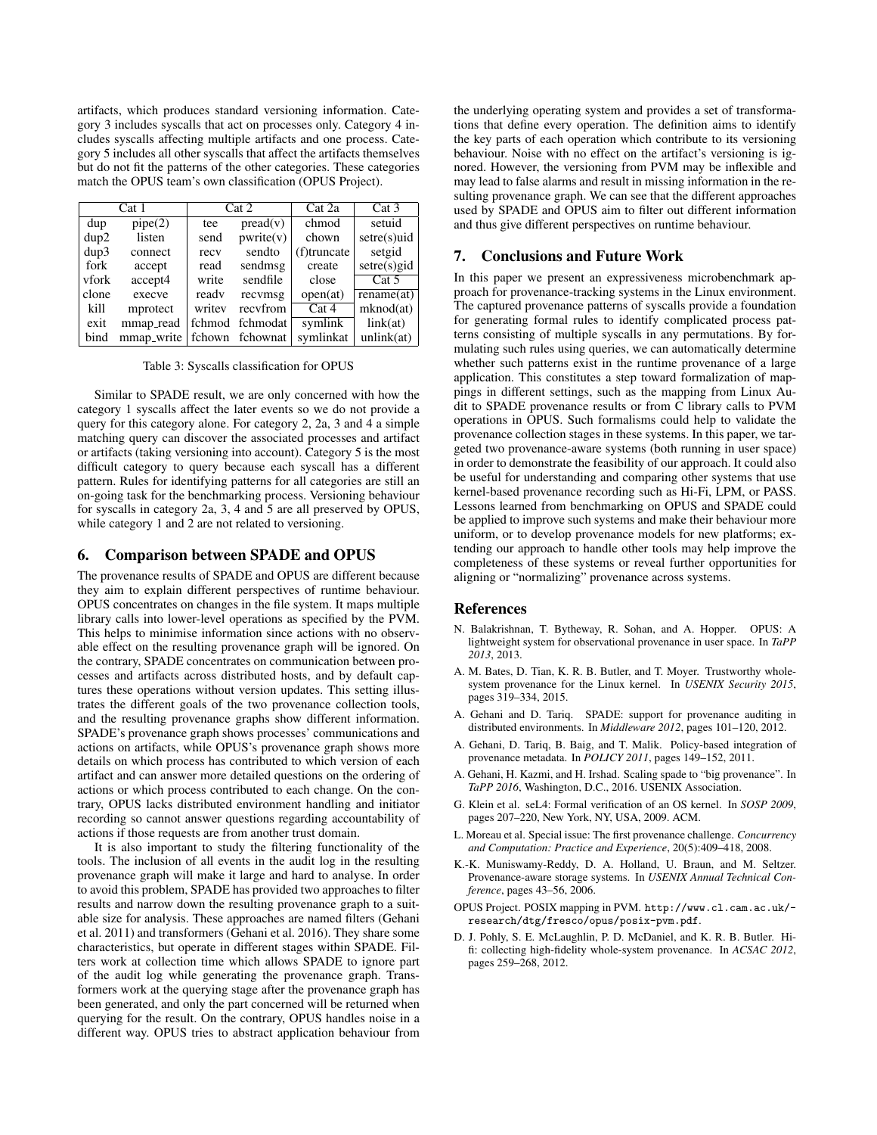artifacts, which produces standard versioning information. Category 3 includes syscalls that act on processes only. Category 4 includes syscalls affecting multiple artifacts and one process. Category 5 includes all other syscalls that affect the artifacts themselves but do not fit the patterns of the other categories. These categories match the OPUS team's own classification (OPUS Project).

| Cat 1 |            | Cat 2  |                 | Cat 2a      | Cat 3          |
|-------|------------|--------|-----------------|-------------|----------------|
| dup   | pipe(2)    | tee    | $pred(v)$       | chmod       | setuid         |
| dup2  | listen     | send   | pwrite(v)       | chown       | $setre(s)$ uid |
| dup3  | connect    | recv   | sendto          | (f)truncate | setgid         |
| fork  | accept     | read   | sendmsg         | create      | $setre(s)$ gid |
| vfork | accept4    | write  | sendfile        | close       | Cat 5          |
| clone | execve     | ready  | recvmsg         | open(at)    | rename(at)     |
| kill  | mprotect   | writey | recyfrom        | Cat 4       | mknod(at)      |
| exit  | mmap_read  | fchmod | fchmodat        | symlink     | link(at)       |
| bind  | mmap_write |        | fchown fchownat | symlinkat   | unlink(at)     |

Table 3: Syscalls classification for OPUS

Similar to SPADE result, we are only concerned with how the category 1 syscalls affect the later events so we do not provide a query for this category alone. For category 2, 2a, 3 and 4 a simple matching query can discover the associated processes and artifact or artifacts (taking versioning into account). Category 5 is the most difficult category to query because each syscall has a different pattern. Rules for identifying patterns for all categories are still an on-going task for the benchmarking process. Versioning behaviour for syscalls in category 2a, 3, 4 and 5 are all preserved by OPUS, while category 1 and 2 are not related to versioning.

#### 6. Comparison between SPADE and OPUS

The provenance results of SPADE and OPUS are different because they aim to explain different perspectives of runtime behaviour. OPUS concentrates on changes in the file system. It maps multiple library calls into lower-level operations as specified by the PVM. This helps to minimise information since actions with no observable effect on the resulting provenance graph will be ignored. On the contrary, SPADE concentrates on communication between processes and artifacts across distributed hosts, and by default captures these operations without version updates. This setting illustrates the different goals of the two provenance collection tools, and the resulting provenance graphs show different information. SPADE's provenance graph shows processes' communications and actions on artifacts, while OPUS's provenance graph shows more details on which process has contributed to which version of each artifact and can answer more detailed questions on the ordering of actions or which process contributed to each change. On the contrary, OPUS lacks distributed environment handling and initiator recording so cannot answer questions regarding accountability of actions if those requests are from another trust domain.

It is also important to study the filtering functionality of the tools. The inclusion of all events in the audit log in the resulting provenance graph will make it large and hard to analyse. In order to avoid this problem, SPADE has provided two approaches to filter results and narrow down the resulting provenance graph to a suitable size for analysis. These approaches are named filters (Gehani et al. 2011) and transformers (Gehani et al. 2016). They share some characteristics, but operate in different stages within SPADE. Filters work at collection time which allows SPADE to ignore part of the audit log while generating the provenance graph. Transformers work at the querying stage after the provenance graph has been generated, and only the part concerned will be returned when querying for the result. On the contrary, OPUS handles noise in a different way. OPUS tries to abstract application behaviour from the underlying operating system and provides a set of transformations that define every operation. The definition aims to identify the key parts of each operation which contribute to its versioning behaviour. Noise with no effect on the artifact's versioning is ignored. However, the versioning from PVM may be inflexible and may lead to false alarms and result in missing information in the resulting provenance graph. We can see that the different approaches used by SPADE and OPUS aim to filter out different information and thus give different perspectives on runtime behaviour.

#### 7. Conclusions and Future Work

In this paper we present an expressiveness microbenchmark approach for provenance-tracking systems in the Linux environment. The captured provenance patterns of syscalls provide a foundation for generating formal rules to identify complicated process patterns consisting of multiple syscalls in any permutations. By formulating such rules using queries, we can automatically determine whether such patterns exist in the runtime provenance of a large application. This constitutes a step toward formalization of mappings in different settings, such as the mapping from Linux Audit to SPADE provenance results or from C library calls to PVM operations in OPUS. Such formalisms could help to validate the provenance collection stages in these systems. In this paper, we targeted two provenance-aware systems (both running in user space) in order to demonstrate the feasibility of our approach. It could also be useful for understanding and comparing other systems that use kernel-based provenance recording such as Hi-Fi, LPM, or PASS. Lessons learned from benchmarking on OPUS and SPADE could be applied to improve such systems and make their behaviour more uniform, or to develop provenance models for new platforms; extending our approach to handle other tools may help improve the completeness of these systems or reveal further opportunities for aligning or "normalizing" provenance across systems.

#### References

- N. Balakrishnan, T. Bytheway, R. Sohan, and A. Hopper. OPUS: A lightweight system for observational provenance in user space. In *TaPP 2013*, 2013.
- A. M. Bates, D. Tian, K. R. B. Butler, and T. Moyer. Trustworthy wholesystem provenance for the Linux kernel. In *USENIX Security 2015*, pages 319–334, 2015.
- A. Gehani and D. Tariq. SPADE: support for provenance auditing in distributed environments. In *Middleware 2012*, pages 101–120, 2012.
- A. Gehani, D. Tariq, B. Baig, and T. Malik. Policy-based integration of provenance metadata. In *POLICY 2011*, pages 149–152, 2011.
- A. Gehani, H. Kazmi, and H. Irshad. Scaling spade to "big provenance". In *TaPP 2016*, Washington, D.C., 2016. USENIX Association.
- G. Klein et al. seL4: Formal verification of an OS kernel. In *SOSP 2009*, pages 207–220, New York, NY, USA, 2009. ACM.
- L. Moreau et al. Special issue: The first provenance challenge. *Concurrency and Computation: Practice and Experience*, 20(5):409–418, 2008.
- K.-K. Muniswamy-Reddy, D. A. Holland, U. Braun, and M. Seltzer. Provenance-aware storage systems. In *USENIX Annual Technical Conference*, pages 43–56, 2006.
- OPUS Project. POSIX mapping in PVM. http://www.cl.cam.ac.uk/ research/dtg/fresco/opus/posix-pvm.pdf.
- D. J. Pohly, S. E. McLaughlin, P. D. McDaniel, and K. R. B. Butler. Hifi: collecting high-fidelity whole-system provenance. In *ACSAC 2012*, pages 259–268, 2012.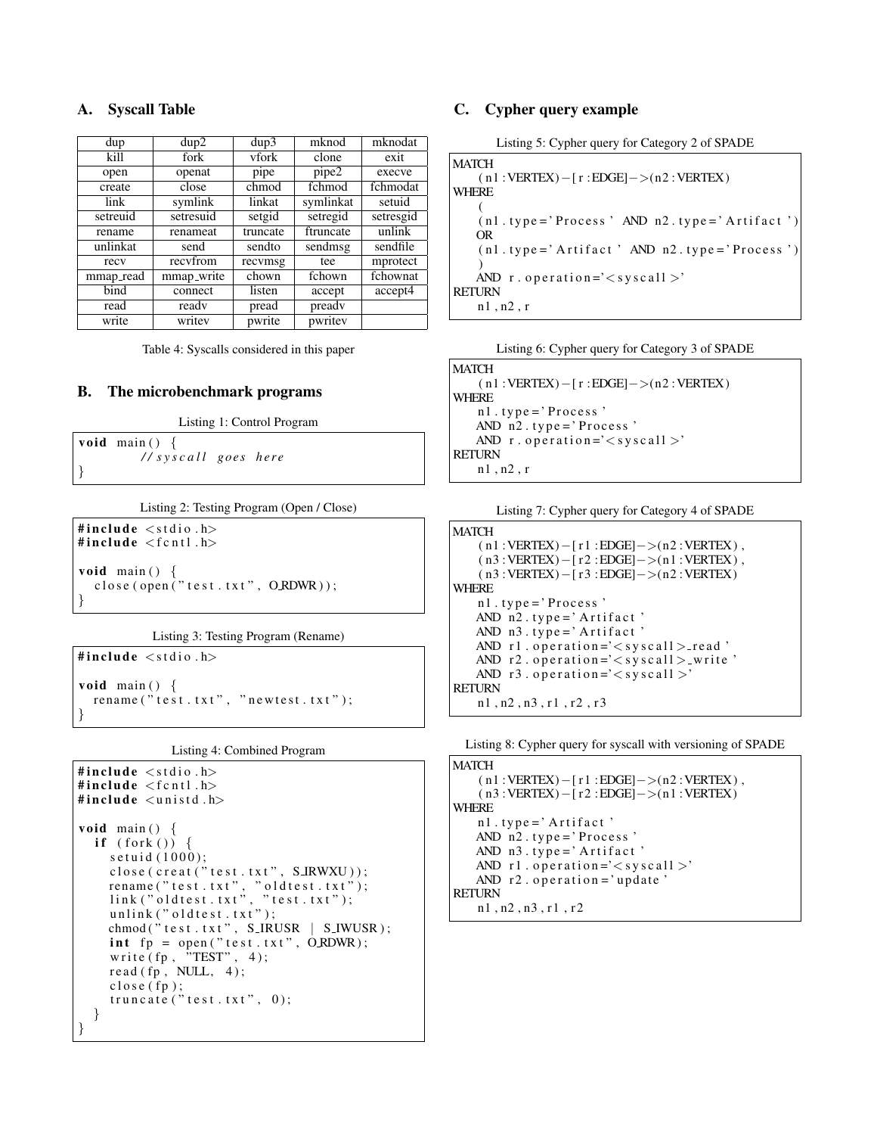# A. Syscall Table

| dup       | dup2       | dup3     | mknod     | mknodat   |
|-----------|------------|----------|-----------|-----------|
| kill      | fork       | vfork    | clone     | exit      |
| open      | openat     | pipe     | pipe2     | execve    |
| create    | close      | chmod    | fchmod    | fchmodat  |
| link      | symlink    | linkat   | symlinkat | setuid    |
| setreuid  | setresuid  | setgid   | setregid  | setresgid |
| rename    | renameat   | truncate | ftruncate | unlink    |
| unlinkat  | send       | sendto   | sendmsg   | sendfile  |
| recy      | recyfrom   | recvmsg  | tee       | mprotect  |
| mmap_read | mmap_write | chown    | fchown    | fchownat  |
| bind      | connect    | listen   | accept    | accept4   |
| read      | ready      | pread    | pready    |           |
| write     | writev     | pwrite   | pwritev   |           |

Table 4: Syscalls considered in this paper

# B. The microbenchmark programs

Listing 1: Control Program

```
void main () {
            / / s y s c a l l g o e s h e r e
}
```
Listing 2: Testing Program (Open / Close)

```
#include \ltstdio.h>
#include \langlefcntl.h>
void main () \{close(open('test.txt", ORDWR));}
```
Listing 3: Testing Program (Rename)

```
#include <stdio.h>
void main () \{rename("test.txt", "newtest.txt");}
```
Listing 4: Combined Program

```
#include \ltstdio.h>
#include \langlefcntl.h>
#include \langleunistd.h>
void main () \{if (fork()) {
     s e t u i d (1000);
     close(creat('test.txt", SIRWXU));rename ( " t e s t . t x t " ,   " o l d t e s t . t x t " ) ;
     l i n k ( " o l d t e s t . t x t " , " t e s t . t x t " ) ;
     unlink('oldtest.txt');chmod ("test.txt", S_IRUSR | S_IWUSR);
     int fp = open("test.txt", ORDWR);write (fp, \nightharpoonup TEST", 4);
     read (fp, NULL, 4);close(fp);truncate("test.txt", 0);}
}
```
# C. Cypher query example

Listing 5: Cypher query for Category 2 of SPADE

**MATCH**  $(n1 : VERTEX) - [r : EDGE] -> (n2 : VERTEX)$ WHERE (  $(n1. type = 'Process' AND n2. type = 'Artifact')$ OR  $(n1. type = 'Artifact' AND n2. type = 'Process ' )$ ) AND  $r \cdot$  operation =' $\lt$  syscall  $>$ ' RETURN n1 , n2 , r

Listing 6: Cypher query for Category 3 of SPADE

```
MATCH
    ( n1 :VERTEX)−[ r :EDGE]−>(n2 :VERTEX )
WHERE
   n1. type = 'Process'
   AND n2. type = 'Process'
   AND r \cdot operation='\ltsyscall >'
RETURN
   n1 , n2 , r
```

|  |  | Listing 7: Cypher query for Category 4 of SPADE |
|--|--|-------------------------------------------------|
|  |  |                                                 |

```
MATCH
    (n1 : VERTEX) - [r1 : EDGE] - > (n2 : VERTEX),
    (n3 : VERTEX) - [r2 : EDGE] - > (n1 : VERTEX),
   (n3 : VERTEX) - [r3 : EDGE] - > (n2 : VERTEX)WHERE
   n1. type = 'Process'
   AND n2. type = 'Artifact'
   AND n3. type = 'Artifact'
   AND r1. operation='\ltsyscall >-read'
   AND r2. operation='<syscall > write '
   AND r3. operation = ' < sy scalRETURN
   n1 , n2 , n3 , r1 , r2 , r 3
```
Listing 8: Cypher query for syscall with versioning of SPADE

```
MATCH
   (n1 : VERTEX) - [r1 : EDGE] - > (n2 : VERTEX),
    ( n3 :VERTEX)−[ r 2 :EDGE]−>(n1 :VERTEX )
WHERE
   n1. type = 'Artifact'
   AND n2. type = 'Process'
   AND n3. type = 'Artifact'
   AND r1. operation='<syscall >'
   AND r2. operation = 'update'
RETURN
   n1 , n2 , n3 , r1 , r 2
```